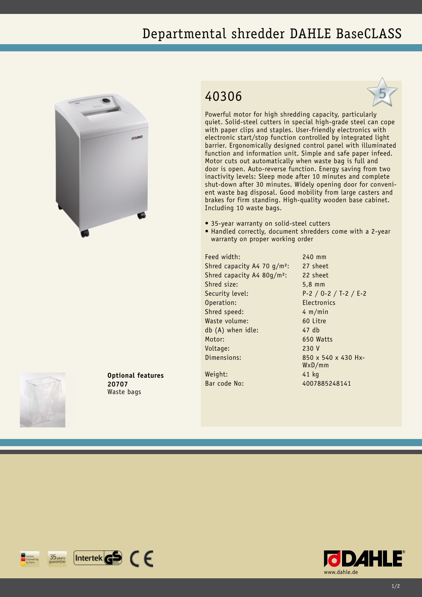## Departmental shredder DAHLE BaseCLASS



## 40306



Powerful motor for high shredding capacity, particularly quiet. Solid-steel cutters in special high-grade steel can cope with paper clips and staples. User-friendly electronics with electronic start/stop function controlled by integrated light barrier. Ergonomically designed control panel with illuminated function and information unit. Simple and safe paper infeed. Motor cuts out automatically when waste bag is full and door is open. Auto-reverse function. Energy saving from two inactivity levels: Sleep mode after 10 minutes and complete shut-down after 30 minutes. Widely opening door for convenient waste bag disposal. Good mobility from large casters and brakes for firm standing. High-quality wooden base cabinet. Including 10 waste bags.

- 35-year warranty on solid-steel cutters
- Handled correctly, document shredders come with a 2-year warranty on proper working order

Feed width: 240 mm Shred capacity A4 70 g/m<sup>2</sup>: 27 sheet Shred capacity A4 80g/m²: 22 sheet Shred size: 5,8 mm Security level: P-2 / O-2 / T-2 / E-2 Operation: Electronics Shred speed: 4 m/min Waste volume: 60 Litre db (A) when idle: 47 db Motor: 650 Watts Voltage: 230 V Dimensions: 850 x 540 x 430 Hx-

WxD/mm

Weight: 41 kg Bar code No: 4007885248141



**Optional features 20707** Waste bags